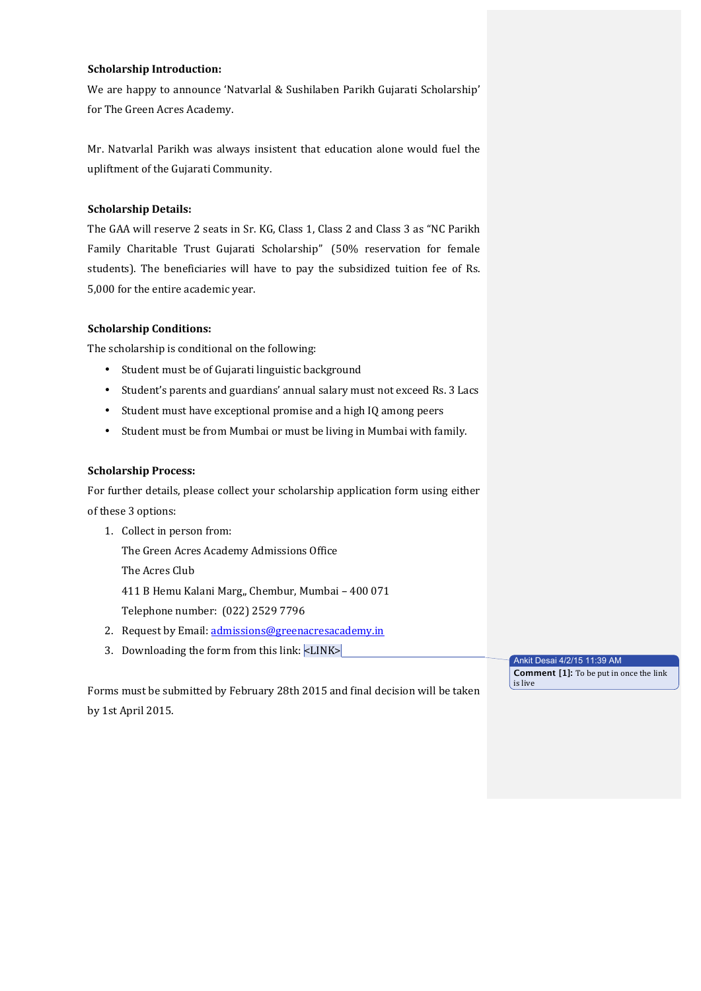## **Scholarship Introduction:**

We are happy to announce 'Natvarlal & Sushilaben Parikh Gujarati Scholarship' for The Green Acres Academy.

Mr. Natvarlal Parikh was always insistent that education alone would fuel the upliftment of the Gujarati Community.

## **Scholarship Details:**

The GAA will reserve 2 seats in Sr. KG, Class 1, Class 2 and Class 3 as "NC Parikh Family Charitable Trust Gujarati Scholarship" (50% reservation for female students). The beneficiaries will have to pay the subsidized tuition fee of Rs. 5,000 for the entire academic year.

## **Scholarship Conditions:**

The scholarship is conditional on the following:

- Student must be of Gujarati linguistic background
- Student's parents and guardians' annual salary must not exceed Rs. 3 Lacs
- Student must have exceptional promise and a high IQ among peers
- Student must be from Mumbai or must be living in Mumbai with family.

## **Scholarship Process:**

For further details, please collect your scholarship application form using either of these 3 options:

- 1. Collect in person from: The Green Acres Academy Admissions Office The Acres Club 411 B Hemu Kalani Marg,, Chembur, Mumbai - 400 071 Telephone number: (022) 2529 7796
- 2. Request by Email: admissions@greenacresacademy.in
- 3. Downloading the form from this link:  $\langle$ LINK $\rangle$

Forms must be submitted by February 28th 2015 and final decision will be taken by 1st April 2015.

Ankit Desai 4/2/15 11:39 AM **Comment [1]:** To be put in once the link is live